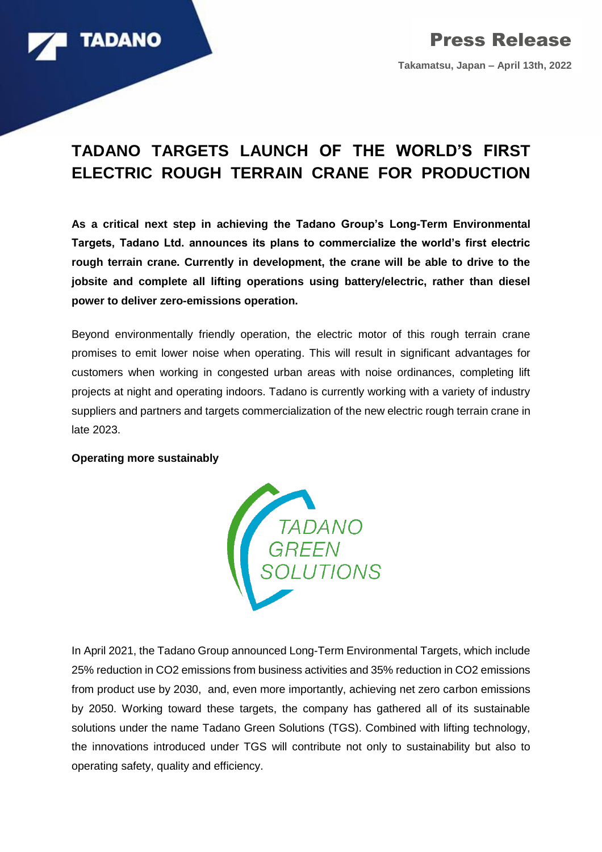

## **TADANO TARGETS LAUNCH OF THE WORLD'S FIRST ELECTRIC ROUGH TERRAIN CRANE FOR PRODUCTION**

**As a critical next step in achieving the Tadano Group's Long-Term Environmental Targets, Tadano Ltd. announces its plans to commercialize the world's first electric rough terrain crane. Currently in development, the crane will be able to drive to the jobsite and complete all lifting operations using battery/electric, rather than diesel power to deliver zero-emissions operation.**

Beyond environmentally friendly operation, the electric motor of this rough terrain crane promises to emit lower noise when operating. This will result in significant advantages for customers when working in congested urban areas with noise ordinances, completing lift projects at night and operating indoors. Tadano is currently working with a variety of industry suppliers and partners and targets commercialization of the new electric rough terrain crane in late 2023.

## **Operating more sustainably**



In April 2021, the Tadano Group announced Long-Term Environmental Targets, which include 25% reduction in CO2 emissions from business activities and 35% reduction in CO2 emissions from product use by 2030, and, even more importantly, achieving net zero carbon emissions by 2050. Working toward these targets, the company has gathered all of its sustainable solutions under the name Tadano Green Solutions (TGS). Combined with lifting technology, the innovations introduced under TGS will contribute not only to sustainability but also to operating safety, quality and efficiency.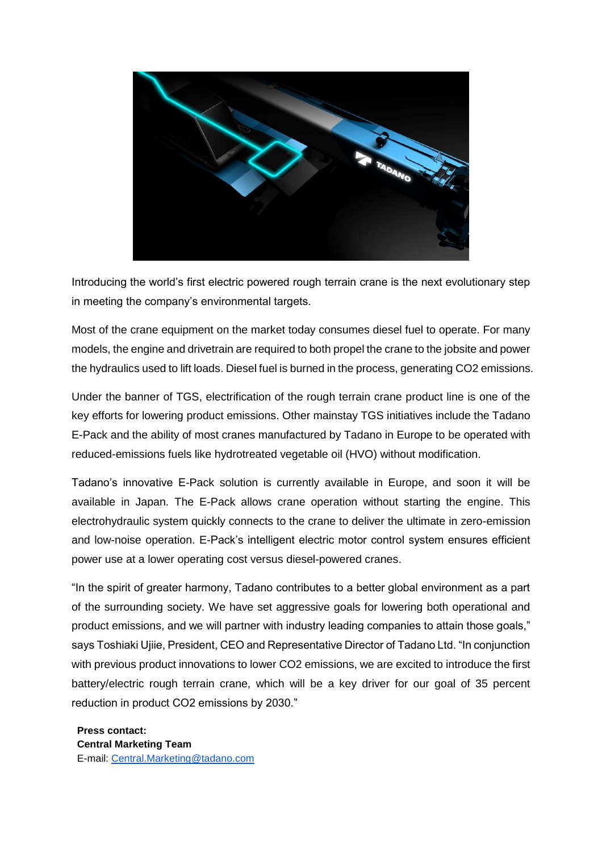

Introducing the world's first electric powered rough terrain crane is the next evolutionary step in meeting the company's environmental targets.

Most of the crane equipment on the market today consumes diesel fuel to operate. For many models, the engine and drivetrain are required to both propel the crane to the jobsite and power the hydraulics used to lift loads. Diesel fuel is burned in the process, generating CO2 emissions.

Under the banner of TGS, electrification of the rough terrain crane product line is one of the key efforts for lowering product emissions. Other mainstay TGS initiatives include the Tadano E-Pack and the ability of most cranes manufactured by Tadano in Europe to be operated with reduced-emissions fuels like hydrotreated vegetable oil (HVO) without modification.

Tadano's innovative E-Pack solution is currently available in Europe, and soon it will be available in Japan. The E-Pack allows crane operation without starting the engine. This electrohydraulic system quickly connects to the crane to deliver the ultimate in zero-emission and low-noise operation. E-Pack's intelligent electric motor control system ensures efficient power use at a lower operating cost versus diesel-powered cranes.

"In the spirit of greater harmony, Tadano contributes to a better global environment as a part of the surrounding society. We have set aggressive goals for lowering both operational and product emissions, and we will partner with industry leading companies to attain those goals," says Toshiaki Ujiie, President, CEO and Representative Director of Tadano Ltd. "In conjunction with previous product innovations to lower CO2 emissions, we are excited to introduce the first battery/electric rough terrain crane, which will be a key driver for our goal of 35 percent reduction in product CO2 emissions by 2030."

**Press contact: Central Marketing Team** E-mail: [Central.Marketing@tadano.com](mailto:Central.Marketing@tadano.com)